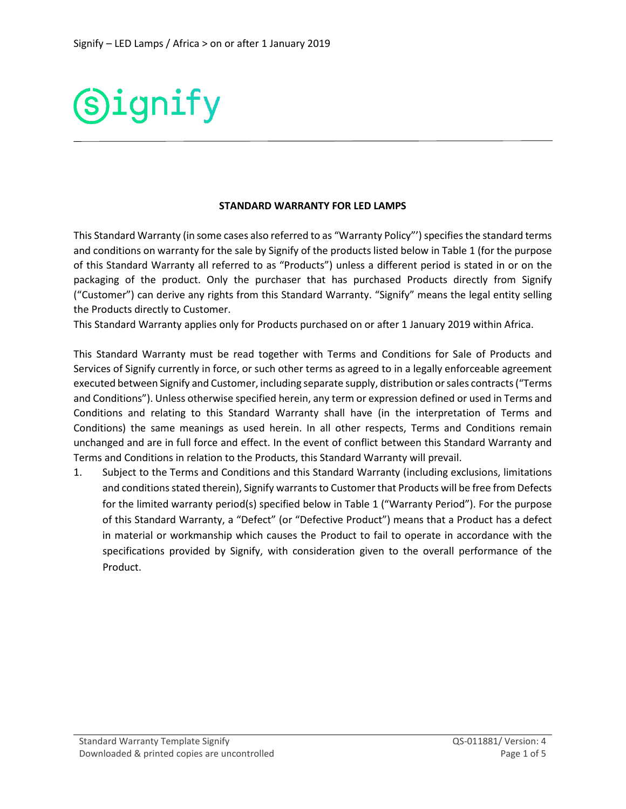

## **STANDARD WARRANTY FOR LED LAMPS**

This Standard Warranty (in some cases also referred to as "Warranty Policy"') specifies the standard terms and conditions on warranty for the sale by Signify of the products listed below in Table 1 (for the purpose of this Standard Warranty all referred to as "Products") unless a different period is stated in or on the packaging of the product. Only the purchaser that has purchased Products directly from Signify ("Customer") can derive any rights from this Standard Warranty. "Signify" means the legal entity selling the Products directly to Customer.

This Standard Warranty applies only for Products purchased on or after 1 January 2019 within Africa.

This Standard Warranty must be read together with Terms and Conditions for Sale of Products and Services of Signify currently in force, or such other terms as agreed to in a legally enforceable agreement executed between Signify and Customer, including separate supply, distribution or sales contracts ("Terms and Conditions"). Unless otherwise specified herein, any term or expression defined or used in Terms and Conditions and relating to this Standard Warranty shall have (in the interpretation of Terms and Conditions) the same meanings as used herein. In all other respects, Terms and Conditions remain unchanged and are in full force and effect. In the event of conflict between this Standard Warranty and Terms and Conditions in relation to the Products, this Standard Warranty will prevail.

1. Subject to the Terms and Conditions and this Standard Warranty (including exclusions, limitations and conditions stated therein), Signify warrants to Customer that Products will be free from Defects for the limited warranty period(s) specified below in Table 1 ("Warranty Period"). For the purpose of this Standard Warranty, a "Defect" (or "Defective Product") means that a Product has a defect in material or workmanship which causes the Product to fail to operate in accordance with the specifications provided by Signify, with consideration given to the overall performance of the Product.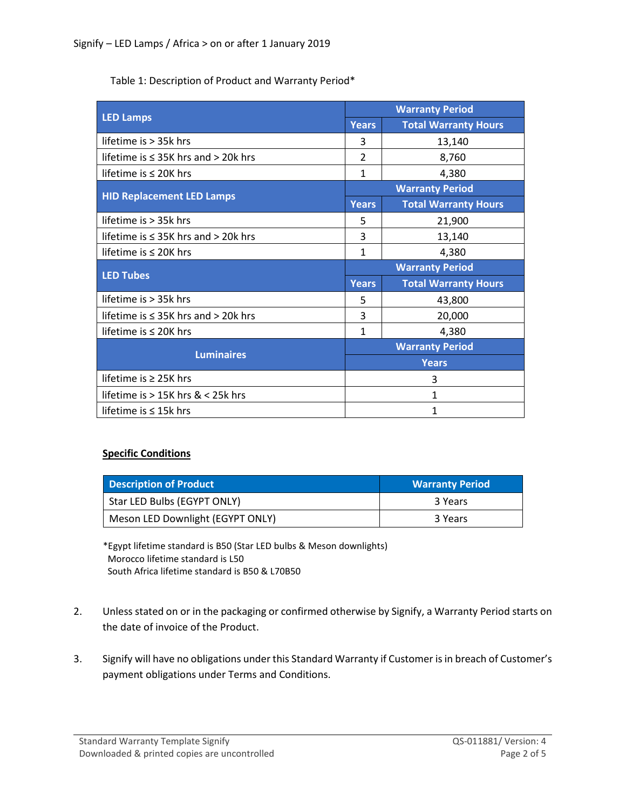Table 1: Description of Product and Warranty Period\*

| <b>LED Lamps</b>                           | <b>Warranty Period</b> |                             |
|--------------------------------------------|------------------------|-----------------------------|
|                                            | <b>Years</b>           | <b>Total Warranty Hours</b> |
| lifetime is > 35k hrs                      | 3                      | 13,140                      |
| lifetime is $\leq$ 35K hrs and > 20k hrs   | $\overline{2}$         | 8,760                       |
| lifetime is ≤ 20K hrs                      | 1                      | 4,380                       |
| <b>HID Replacement LED Lamps</b>           | <b>Warranty Period</b> |                             |
|                                            | <b>Years</b>           | <b>Total Warranty Hours</b> |
| lifetime is $>$ 35k hrs                    | 5                      | 21,900                      |
| lifetime is $\leq$ 35K hrs and $>$ 20k hrs | 3                      | 13,140                      |
| lifetime is $\leq$ 20K hrs                 | 1                      | 4,380                       |
| <b>LED Tubes</b>                           | <b>Warranty Period</b> |                             |
|                                            | <b>Years</b>           | <b>Total Warranty Hours</b> |
| lifetime is $>$ 35 $k$ hrs                 | 5                      | 43,800                      |
| lifetime is $\leq$ 35K hrs and > 20k hrs   | 3                      | 20,000                      |
| lifetime is $\leq$ 20K hrs                 | 1                      | 4,380                       |
| <b>Luminaires</b>                          | <b>Warranty Period</b> |                             |
|                                            | <b>Years</b>           |                             |
| lifetime is $\geq$ 25K hrs                 | 3                      |                             |
| lifetime is > 15K hrs & < 25k hrs          | 1                      |                             |
| lifetime is $\leq$ 15k hrs                 | $\mathbf{1}$           |                             |

## **Specific Conditions**

| <b>Description of Product</b>    | <b>Warranty Period</b> |
|----------------------------------|------------------------|
| Star LED Bulbs (EGYPT ONLY)      | 3 Years                |
| Meson LED Downlight (EGYPT ONLY) | 3 Years                |

\*Egypt lifetime standard is B50 (Star LED bulbs & Meson downlights) Morocco lifetime standard is L50 South Africa lifetime standard is B50 & L70B50

- 2. Unless stated on or in the packaging or confirmed otherwise by Signify, a Warranty Period starts on the date of invoice of the Product.
- 3. Signify will have no obligations under this Standard Warranty if Customer is in breach of Customer's payment obligations under Terms and Conditions.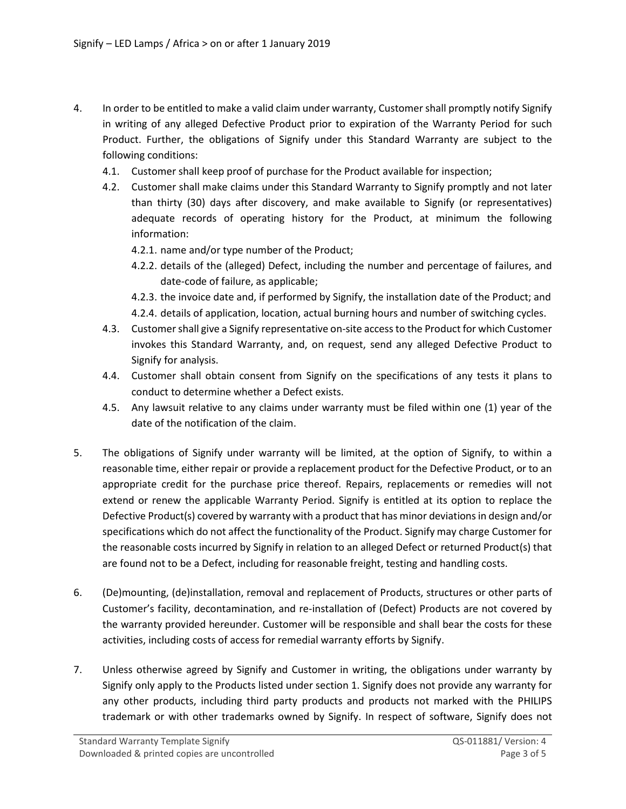- 4. In order to be entitled to make a valid claim under warranty, Customer shall promptly notify Signify in writing of any alleged Defective Product prior to expiration of the Warranty Period for such Product. Further, the obligations of Signify under this Standard Warranty are subject to the following conditions:
	- 4.1. Customer shall keep proof of purchase for the Product available for inspection;
	- 4.2. Customer shall make claims under this Standard Warranty to Signify promptly and not later than thirty (30) days after discovery, and make available to Signify (or representatives) adequate records of operating history for the Product, at minimum the following information:
		- 4.2.1. name and/or type number of the Product;
		- 4.2.2. details of the (alleged) Defect, including the number and percentage of failures, and date-code of failure, as applicable;
		- 4.2.3. the invoice date and, if performed by Signify, the installation date of the Product; and 4.2.4. details of application, location, actual burning hours and number of switching cycles.
	- 4.3. Customer shall give a Signify representative on-site access to the Product for which Customer invokes this Standard Warranty, and, on request, send any alleged Defective Product to Signify for analysis.
	- 4.4. Customer shall obtain consent from Signify on the specifications of any tests it plans to conduct to determine whether a Defect exists.
	- 4.5. Any lawsuit relative to any claims under warranty must be filed within one (1) year of the date of the notification of the claim.
- 5. The obligations of Signify under warranty will be limited, at the option of Signify, to within a reasonable time, either repair or provide a replacement product for the Defective Product, or to an appropriate credit for the purchase price thereof. Repairs, replacements or remedies will not extend or renew the applicable Warranty Period. Signify is entitled at its option to replace the Defective Product(s) covered by warranty with a product that has minor deviations in design and/or specifications which do not affect the functionality of the Product. Signify may charge Customer for the reasonable costs incurred by Signify in relation to an alleged Defect or returned Product(s) that are found not to be a Defect, including for reasonable freight, testing and handling costs.
- 6. (De)mounting, (de)installation, removal and replacement of Products, structures or other parts of Customer's facility, decontamination, and re-installation of (Defect) Products are not covered by the warranty provided hereunder. Customer will be responsible and shall bear the costs for these activities, including costs of access for remedial warranty efforts by Signify.
- 7. Unless otherwise agreed by Signify and Customer in writing, the obligations under warranty by Signify only apply to the Products listed under section 1. Signify does not provide any warranty for any other products, including third party products and products not marked with the PHILIPS trademark or with other trademarks owned by Signify. In respect of software, Signify does not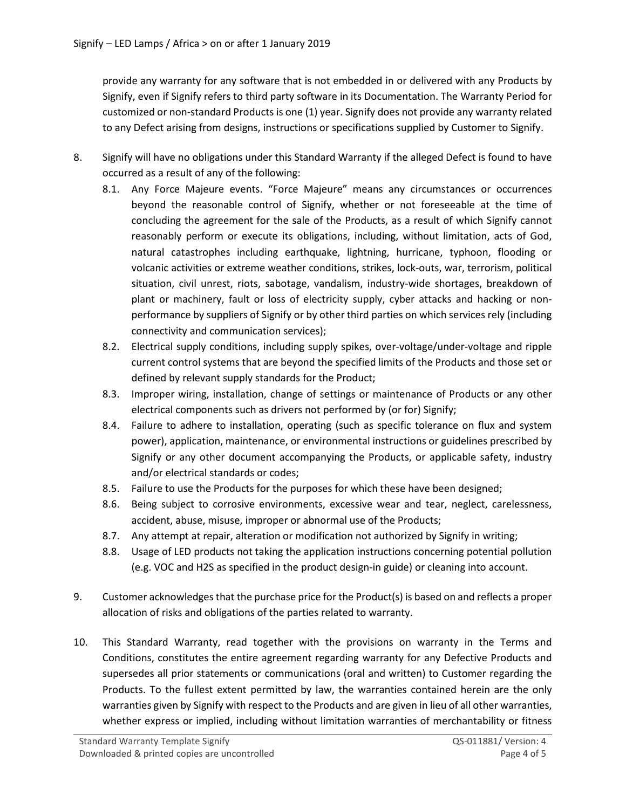provide any warranty for any software that is not embedded in or delivered with any Products by Signify, even if Signify refers to third party software in its Documentation. The Warranty Period for customized or non-standard Products is one (1) year. Signify does not provide any warranty related to any Defect arising from designs, instructions or specifications supplied by Customer to Signify.

- 8. Signify will have no obligations under this Standard Warranty if the alleged Defect is found to have occurred as a result of any of the following:
	- 8.1. Any Force Majeure events. "Force Majeure" means any circumstances or occurrences beyond the reasonable control of Signify, whether or not foreseeable at the time of concluding the agreement for the sale of the Products, as a result of which Signify cannot reasonably perform or execute its obligations, including, without limitation, acts of God, natural catastrophes including earthquake, lightning, hurricane, typhoon, flooding or volcanic activities or extreme weather conditions, strikes, lock-outs, war, terrorism, political situation, civil unrest, riots, sabotage, vandalism, industry-wide shortages, breakdown of plant or machinery, fault or loss of electricity supply, cyber attacks and hacking or nonperformance by suppliers of Signify or by other third parties on which services rely (including connectivity and communication services);
	- 8.2. Electrical supply conditions, including supply spikes, over-voltage/under-voltage and ripple current control systems that are beyond the specified limits of the Products and those set or defined by relevant supply standards for the Product;
	- 8.3. Improper wiring, installation, change of settings or maintenance of Products or any other electrical components such as drivers not performed by (or for) Signify;
	- 8.4. Failure to adhere to installation, operating (such as specific tolerance on flux and system power), application, maintenance, or environmental instructions or guidelines prescribed by Signify or any other document accompanying the Products, or applicable safety, industry and/or electrical standards or codes;
	- 8.5. Failure to use the Products for the purposes for which these have been designed;
	- 8.6. Being subject to corrosive environments, excessive wear and tear, neglect, carelessness, accident, abuse, misuse, improper or abnormal use of the Products;
	- 8.7. Any attempt at repair, alteration or modification not authorized by Signify in writing;
	- 8.8. Usage of LED products not taking the application instructions concerning potential pollution (e.g. VOC and H2S as specified in the product design-in guide) or cleaning into account.
- 9. Customer acknowledges that the purchase price for the Product(s) is based on and reflects a proper allocation of risks and obligations of the parties related to warranty.
- 10. This Standard Warranty, read together with the provisions on warranty in the Terms and Conditions, constitutes the entire agreement regarding warranty for any Defective Products and supersedes all prior statements or communications (oral and written) to Customer regarding the Products. To the fullest extent permitted by law, the warranties contained herein are the only warranties given by Signify with respect to the Products and are given in lieu of all other warranties, whether express or implied, including without limitation warranties of merchantability or fitness